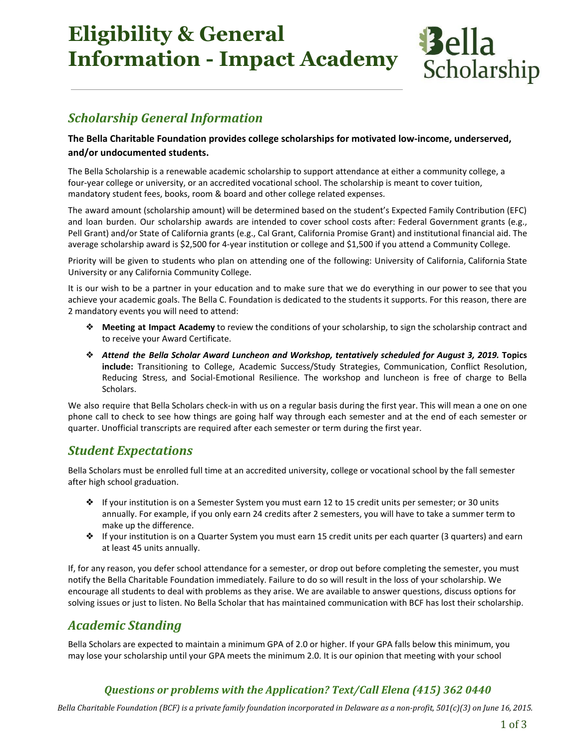# **Eligibility & General Information - Impact Academy**



### Scholarship General Information

#### The Bella Charitable Foundation provides college scholarships for motivated low-income, underserved, and/or undocumented students.

The Bella Scholarship is a renewable academic scholarship to support attendance at either a community college, a four-year college or university, or an accredited vocational school. The scholarship is meant to cover tuition, mandatory student fees, books, room & board and other college related expenses.

The award amount (scholarship amount) will be determined based on the student's Expected Family Contribution (EFC) and loan burden. Our scholarship awards are intended to cover school costs after: Federal Government grants (e.g., Pell Grant) and/or State of California grants (e.g., Cal Grant, California Promise Grant) and institutional financial aid. The average scholarship award is \$2,500 for 4-year institution or college and \$1,500 if you attend a Community College.

Priority will be given to students who plan on attending one of the following: University of California, California State University or any California Community College.

It is our wish to be a partner in your education and to make sure that we do everything in our power to see that you achieve your academic goals. The Bella C. Foundation is dedicated to the students it supports. For this reason, there are 2 mandatory events you will need to attend:

- ❖ Meeting at Impact Academy to review the conditions of your scholarship, to sign the scholarship contract and to receive your Award Certificate.
- ❖ Attend the Bella Scholar Award Luncheon and Workshop, tentatively scheduled for August 3, 2019. Topics include: Transitioning to College, Academic Success/Study Strategies, Communication, Conflict Resolution, Reducing Stress, and Social-Emotional Resilience. The workshop and luncheon is free of charge to Bella Scholars.

We also require that Bella Scholars check-in with us on a regular basis during the first year. This will mean a one on one phone call to check to see how things are going half way through each semester and at the end of each semester or quarter. Unofficial transcripts are required after each semester or term during the first year.

#### Student Expectations

Bella Scholars must be enrolled full time at an accredited university, college or vocational school by the fall semester after high school graduation.

- ❖ If your institution is on a Semester System you must earn 12 to 15 credit units per semester; or 30 units annually. For example, if you only earn 24 credits after 2 semesters, you will have to take a summer term to make up the difference.
- ❖ If your institution is on a Quarter System you must earn 15 credit units per each quarter (3 quarters) and earn at least 45 units annually.

If, for any reason, you defer school attendance for a semester, or drop out before completing the semester, you must notify the Bella Charitable Foundation immediately. Failure to do so will result in the loss of your scholarship. We encourage all students to deal with problems as they arise. We are available to answer questions, discuss options for solving issues or just to listen. No Bella Scholar that has maintained communication with BCF has lost their scholarship.

### Academic Standing

Bella Scholars are expected to maintain a minimum GPA of 2.0 or higher. If your GPA falls below this minimum, you may lose your scholarship until your GPA meets the minimum 2.0. It is our opinion that meeting with your school

#### Questions or problems with the Application? Text/Call Elena (415) 362 0440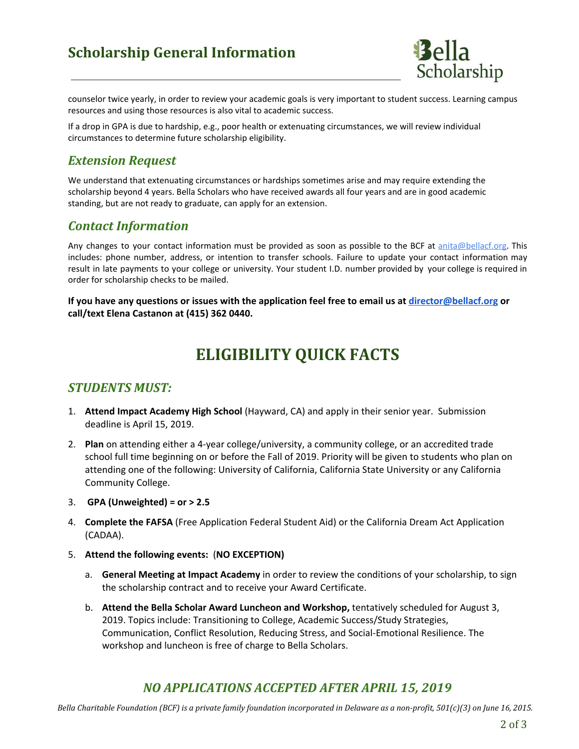# Scholarship General Information



counselor twice yearly, in order to review your academic goals is very important to student success. Learning campus resources and using those resources is also vital to academic success.

If a drop in GPA is due to hardship, e.g., poor health or extenuating circumstances, we will review individual circumstances to determine future scholarship eligibility.

#### Extension Request

We understand that extenuating circumstances or hardships sometimes arise and may require extending the scholarship beyond 4 years. Bella Scholars who have received awards all four years and are in good academic standing, but are not ready to graduate, can apply for an extension.

#### Contact Information

Any changes to your contact information must be provided as soon as possible to the BCF at anita@bellacf.org. This includes: phone number, address, or intention to transfer schools. Failure to update your contact information may result in late payments to your college or university. Your student I.D. number provided by your college is required in order for scholarship checks to be mailed.

If you have any questions or issues with the application feel free to email us at director@bellacf.org or call/text Elena Castanon at (415) 362 0440.

# ELIGIBILITY QUICK FACTS

#### STUDENTS MUST:

- 1. Attend Impact Academy High School (Hayward, CA) and apply in their senior year. Submission deadline is April 15, 2019.
- 2. Plan on attending either a 4-year college/university, a community college, or an accredited trade school full time beginning on or before the Fall of 2019. Priority will be given to students who plan on attending one of the following: University of California, California State University or any California Community College.
- 3. GPA (Unweighted) =  $or > 2.5$
- 4. Complete the FAFSA (Free Application Federal Student Aid) or the California Dream Act Application (CADAA).
- 5. Attend the following events: (NO EXCEPTION)
	- a. General Meeting at Impact Academy in order to review the conditions of your scholarship, to sign the scholarship contract and to receive your Award Certificate.
	- b. Attend the Bella Scholar Award Luncheon and Workshop, tentatively scheduled for August 3, 2019. Topics include: Transitioning to College, Academic Success/Study Strategies, Communication, Conflict Resolution, Reducing Stress, and Social-Emotional Resilience. The workshop and luncheon is free of charge to Bella Scholars.

#### NO APPLICATIONS ACCEPTED AFTER APRIL 15, 2019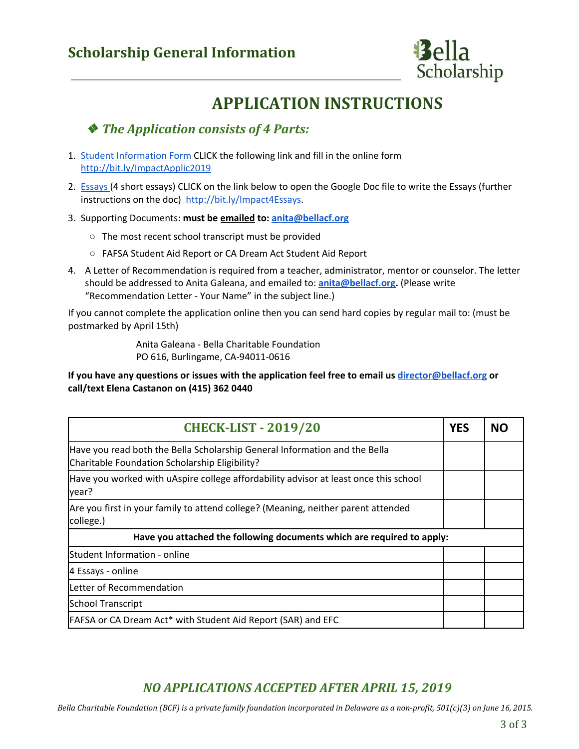

# APPLICATION INSTRUCTIONS

### ❖ The Application consists of 4 Parts:

- 1. Student Information Form CLICK the following link and fill in the online form http://bit.ly/ImpactApplic2019
- 2. Essays (4 short essays) CLICK on the link below to open the Google Doc file to write the Essays (further instructions on the doc) http://bit.ly/Impact4Essays.
- 3. Supporting Documents: must be emailed to: anita@bellacf.org
	- The most recent school transcript must be provided
	- FAFSA Student Aid Report or CA Dream Act Student Aid Report
- 4. A Letter of Recommendation is required from a teacher, administrator, mentor or counselor. The letter should be addressed to Anita Galeana, and emailed to: anita@bellacf.org. (Please write "Recommendation Letter - Your Name" in the subject line.)

If you cannot complete the application online then you can send hard copies by regular mail to: (must be postmarked by April 15th)

> Anita Galeana - Bella Charitable Foundation PO 616, Burlingame, CA-94011-0616

If you have any questions or issues with the application feel free to email us director@bellacf.org or call/text Elena Castanon on (415) 362 0440

| <b>CHECK-LIST - 2019/20</b>                                                                                                  | <b>YES</b> | NΩ |
|------------------------------------------------------------------------------------------------------------------------------|------------|----|
| Have you read both the Bella Scholarship General Information and the Bella<br>Charitable Foundation Scholarship Eligibility? |            |    |
| Have you worked with uAspire college affordability advisor at least once this school<br>year?                                |            |    |
| Are you first in your family to attend college? (Meaning, neither parent attended<br>college.)                               |            |    |
| Have you attached the following documents which are required to apply:                                                       |            |    |
| Student Information - online                                                                                                 |            |    |
| 4 Essays - online                                                                                                            |            |    |
| Letter of Recommendation                                                                                                     |            |    |
| School Transcript                                                                                                            |            |    |
| FAFSA or CA Dream Act* with Student Aid Report (SAR) and EFC                                                                 |            |    |

### NO APPLICATIONS ACCEPTED AFTER APRIL 15, 2019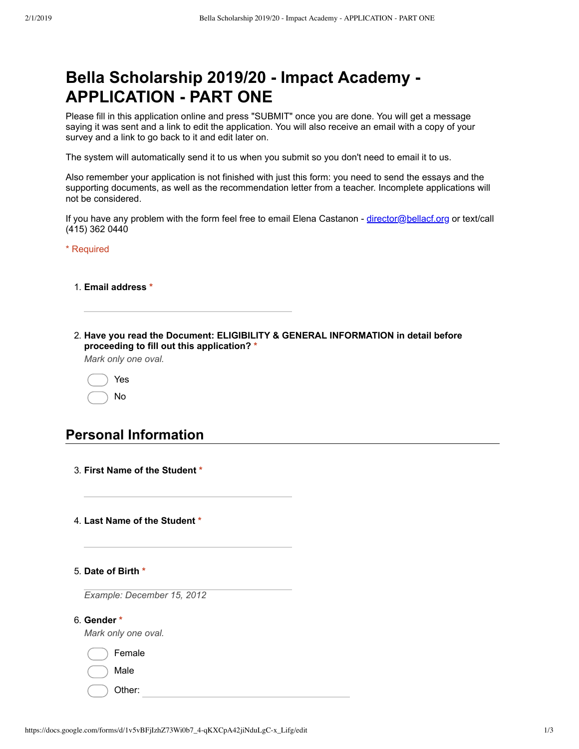# **Bella Scholarship 2019/20 Impact Academy APPLICATION - PART ONE**

Please fill in this application online and press "SUBMIT" once you are done. You will get a message saying it was sent and a link to edit the application. You will also receive an email with a copy of your survey and a link to go back to it and edit later on.

The system will automatically send it to us when you submit so you don't need to email it to us.

Also remember your application is not finished with just this form: you need to send the essays and the supporting documents, as well as the recommendation letter from a teacher. Incomplete applications will not be considered.

If you have any problem with the form feel free to email Elena Castanon - director@bellacf.org or text/call (415) 362 0440

\* Required

- 1. **Email address \***
- 2. **Have you read the Document: ELIGIBILITY & GENERAL INFORMATION in detail before proceeding to fill out this application? \***

*Mark only one oval.*

|  | Yes |
|--|-----|
|  | NΩ  |

#### **Personal Information**

- 3. **First Name of the Student \***
- 4. **Last Name of the Student \***
- 5. **Date of Birth \***

*Example: December 15, 2012*

6. **Gender \***

*Mark only one oval.*

|  | Female |
|--|--------|
|  | Male   |

Other: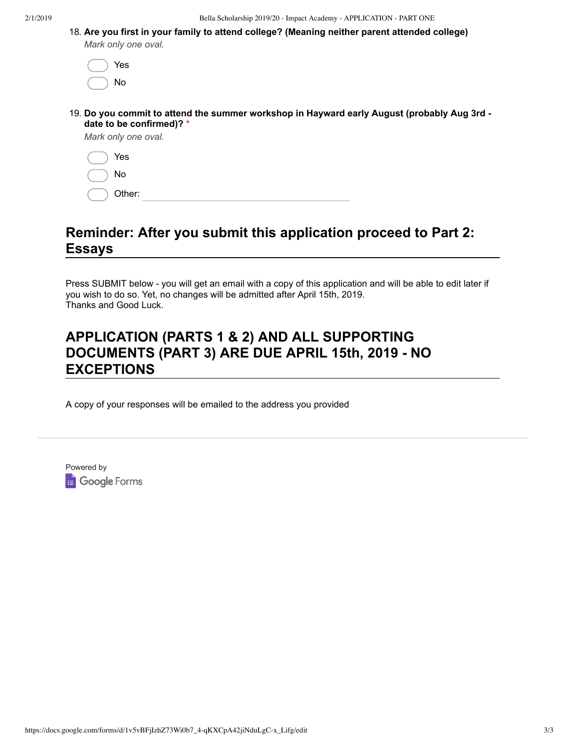2/1/2019 Bella Scholarship 2019/20 - Impact Academy - APPLICATION - PART ONE

|             |                     |  | 18. Are you first in your family to attend college? (Meaning neither parent attended college) |
|-------------|---------------------|--|-----------------------------------------------------------------------------------------------|
|             | Mark only one oval. |  |                                                                                               |
| $($ $)$ Yes |                     |  |                                                                                               |

| ı,<br>J.<br>ר |
|---------------|

19. **Do you commit to attend the summer workshop in Hayward early August (probably Aug 3rd date to be confirmed)? \***

*Mark only one oval.*

| Yes    |
|--------|
| No     |
| Other: |

### **Reminder: After you submit this application proceed to Part 2: Essays**

Press SUBMIT below - you will get an email with a copy of this application and will be able to edit later if you wish to do so. Yet, no changes will be admitted after April 15th, 2019. Thanks and Good Luck.

### **APPLICATION (PARTS 1 & 2) AND ALL SUPPORTING DOCUMENTS (PART 3) ARE DUE APRIL 15th, 2019 NO EXCEPTIONS**

A copy of your responses will be emailed to the address you provided

Powered by **B** Google Forms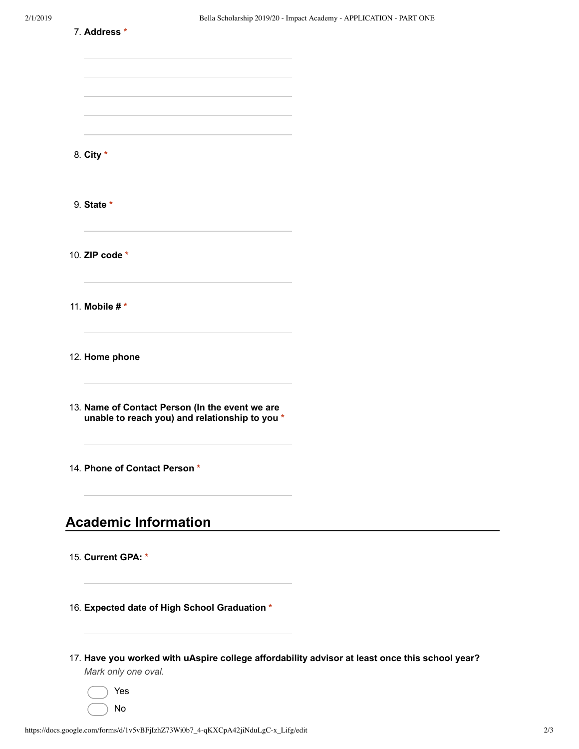| 7. Address *                                                                                                                           |  |
|----------------------------------------------------------------------------------------------------------------------------------------|--|
|                                                                                                                                        |  |
|                                                                                                                                        |  |
| <u> 1989 - Johann Stein, mars an deutscher Stein und der Stein und der Stein und der Stein und der Stein und der</u>                   |  |
|                                                                                                                                        |  |
| 8. City *                                                                                                                              |  |
| 9. State *                                                                                                                             |  |
| the control of the control of the control of the<br>10. ZIP code *                                                                     |  |
| 11. Mobile # *<br><u> 1980 - Johann Stein, marwolaethau a bhann an t-Amhair an t-Amhair an t-Amhair an t-Amhair an t-Amhair an t-A</u> |  |
| 12. Home phone                                                                                                                         |  |
| 13. Name of Contact Person (In the event we are<br>unable to reach you) and relationship to you *                                      |  |
| 14. Phone of Contact Person *                                                                                                          |  |
| <b>Academic Information</b>                                                                                                            |  |
| 15. Current GPA: *                                                                                                                     |  |
| 16. Expected date of High School Graduation *                                                                                          |  |
| 17. Have you worked with uAspire college affordability advisor at least once this school year?<br>Mark only one oval.                  |  |
| Yes                                                                                                                                    |  |

No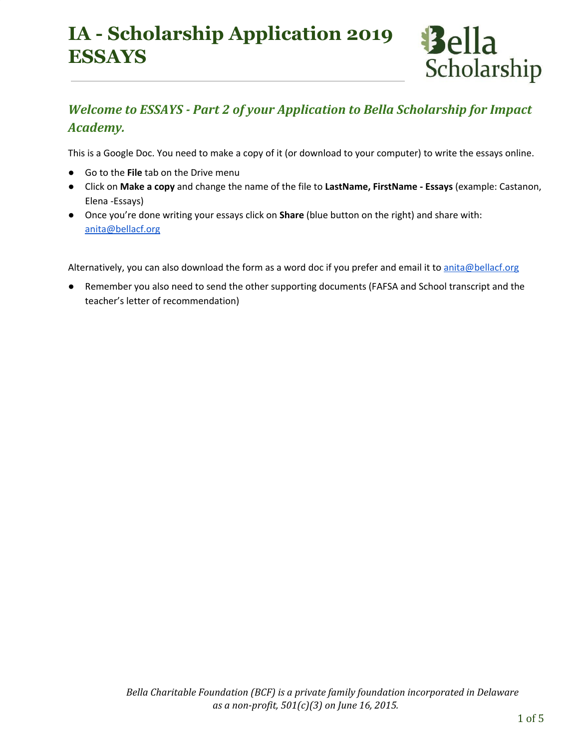# **IA - Scholarship Application 2019 ESSAYS**

# Welcome to ESSAYS - Part 2 of your Application to Bella Scholarship for Impact Academy.

Bella

Scholarship

This is a Google Doc. You need to make a copy of it (or download to your computer) to write the essays online.

- Go to the File tab on the Drive menu
- Click on Make a copy and change the name of the file to LastName, FirstName Essays (example: Castanon, Elena -Essays)
- Once you're done writing your essays click on **Share** (blue button on the right) and share with: anita@bellacf.org

Alternatively, you can also download the form as a word doc if you prefer and email it to anita@bellacf.org

Remember you also need to send the other supporting documents (FAFSA and School transcript and the teacher's letter of recommendation)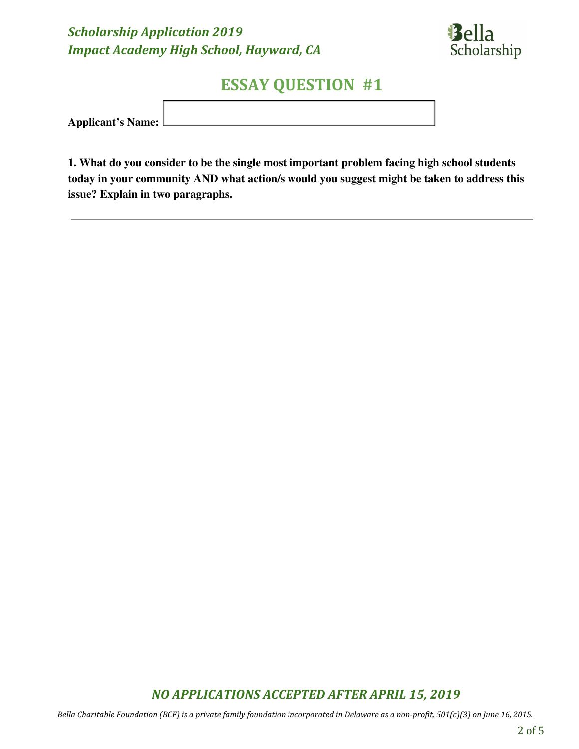

# ESSAY QUESTION #1

Applicant's Name:

1. What do you consider to be the single most important problem facing high school students today in your community AND what action/s would you suggest might be taken to address this issue? Explain in two paragraphs.

### NO APPLICATIONS ACCEPTED AFTER APRIL 15, 2019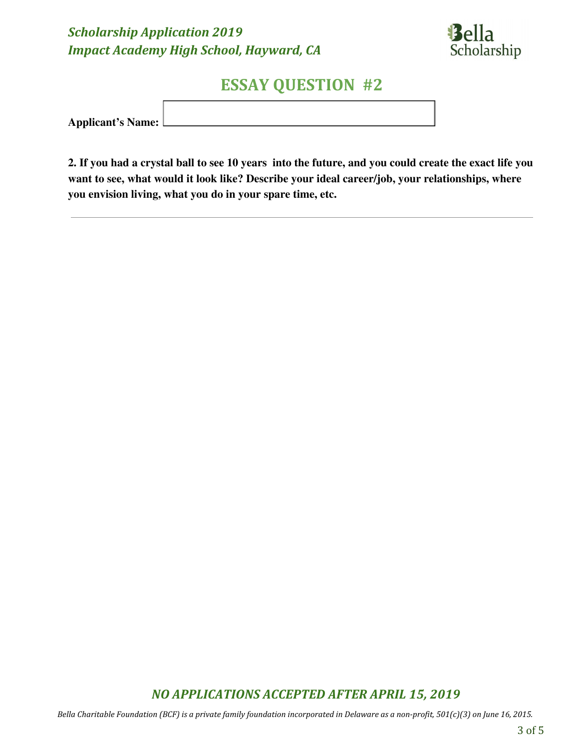

# ESSAY QUESTION #2

Applicant's Name:

2. If you had a crystal ball to see 10 years into the future, and you could create the exact life you want to see, what would it look like? Describe your ideal career/job, your relationships, where you envision living, what you do in your spare time, etc.

### NO APPLICATIONS ACCEPTED AFTER APRIL 15, 2019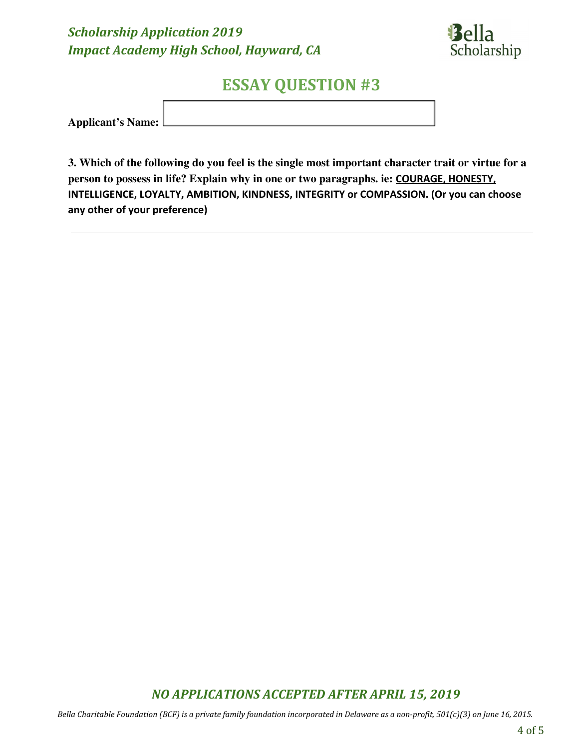

# ESSAY QUESTION #3

Applicant's Name:

3. Which of the following do you feel is the single most important character trait or virtue for a person to possess in life? Explain why in one or two paragraphs. ie: COURAGE, HONESTY, INTELLIGENCE, LOYALTY, AMBITION, KINDNESS, INTEGRITY or COMPASSION. (Or you can choose any other of your preference)

### NO APPLICATIONS ACCEPTED AFTER APRIL 15, 2019